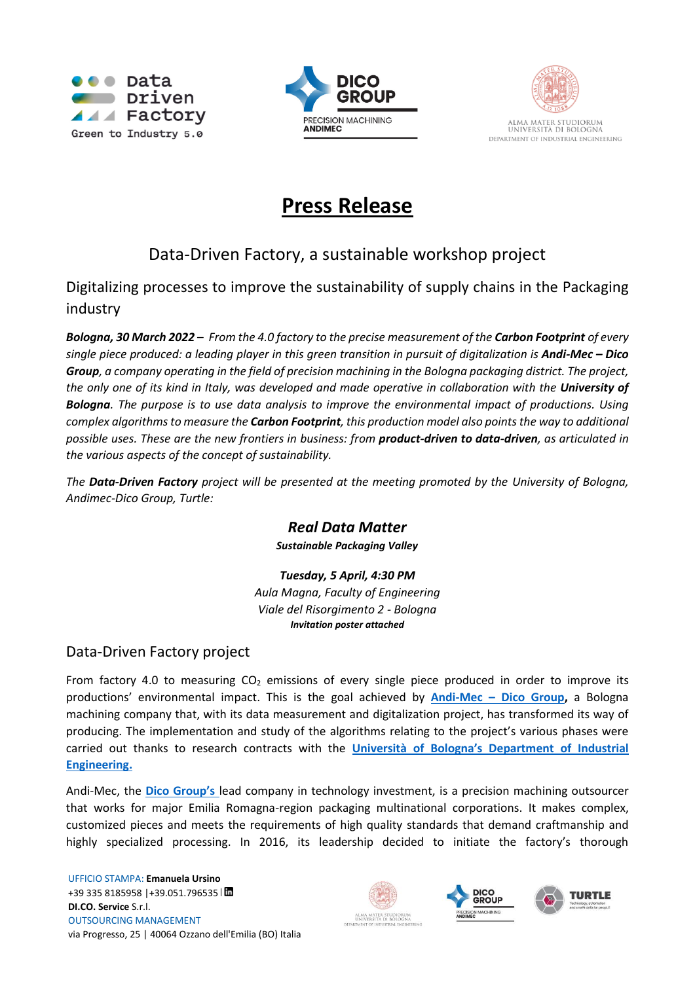





# **Press Release**

## Data-Driven Factory, a sustainable workshop project

Digitalizing processes to improve the sustainability of supply chains in the Packaging industry

*Bologna, 30 March 2022* – *From the 4.0 factory to the precise measurement of the Carbon Footprint of every single piece produced: a leading player in this green transition in pursuit of digitalization is Andi-Mec – Dico Group, a company operating in the field of precision machining in the Bologna packaging district. The project, the only one of its kind in Italy, was developed and made operative in collaboration with the University of Bologna. The purpose is to use data analysis to improve the environmental impact of productions. Using complex algorithms to measure the Carbon Footprint, this production model also points the way to additional possible uses. These are the new frontiers in business: from product-driven to data-driven, as articulated in the various aspects of the concept of sustainability.*

*The Data-Driven Factory project will be presented at the meeting promoted by the University of Bologna, Andimec-Dico Group, Turtle:* 

### *Real Data Matter*

*Sustainable Packaging Valley*

*Tuesday, 5 April, 4:30 PM Aula Magna, Faculty of Engineering Viale del Risorgimento 2 - Bologna Invitation poster attached*

### Data-Driven Factory project

From factory 4.0 to measuring  $CO<sub>2</sub>$  emissions of every single piece produced in order to improve its productions' environmental impact. This is the goal achieved by **Andi-Mec – [Dico Group,](https://www.andimec.it/)** a Bologna machining company that, with its data measurement and digitalization project, has transformed its way of producing. The implementation and study of the algorithms relating to the project's various phases were carried out thanks to research contracts with the **[Università of Bologn](https://ingegneriaindustriale.unibo.it/it/dipartimento/presentazione)a's Department of Industrial [Engineering.](https://ingegneriaindustriale.unibo.it/it/dipartimento/presentazione)**

Andi-Mec, the **[Dico Group](https://dicogroup.eu/)'s** lead company in technology investment, is a precision machining outsourcer that works for major Emilia Romagna-region packaging multinational corporations. It makes complex, customized pieces and meets the requirements of high quality standards that demand craftmanship and highly specialized processing. In 2016, its leadership decided to initiate the factory's thorough





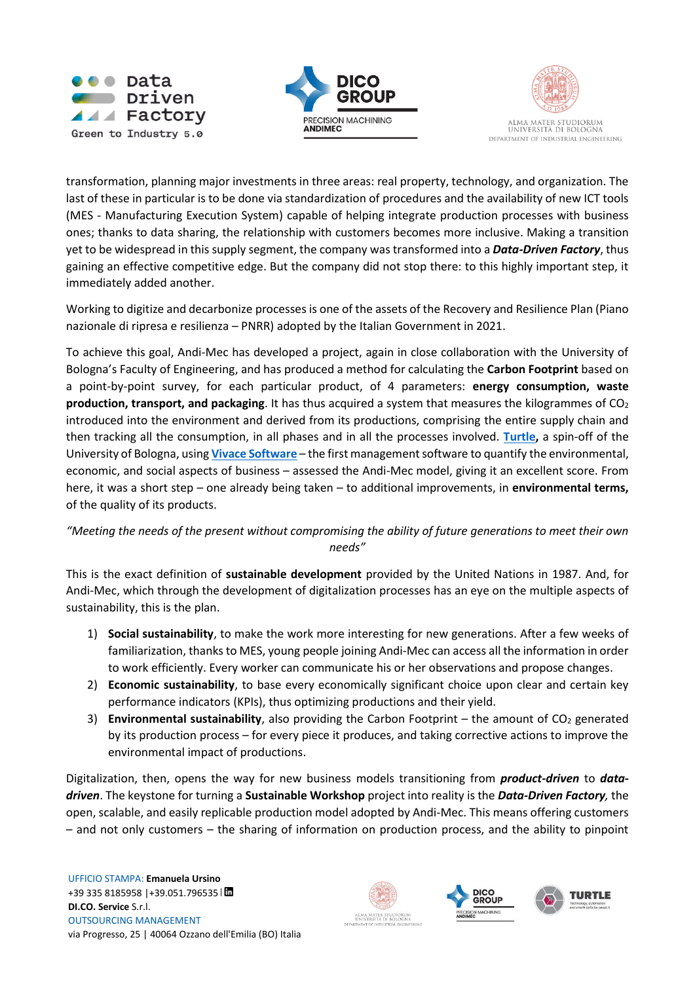





transformation, planning major investments in three areas: real property, technology, and organization. The last of these in particular is to be done via standardization of procedures and the availability of new ICT tools (MES - Manufacturing Execution System) capable of helping integrate production processes with business ones; thanks to data sharing, the relationship with customers becomes more inclusive. Making a transition yet to be widespread in this supply segment, the company was transformed into a *Data-Driven Factory*, thus gaining an effective competitive edge. But the company did not stop there: to this highly important step, it immediately added another.

Working to digitize and decarbonize processes is one of the assets of the Recovery and Resilience Plan (Piano nazionale di ripresa e resilienza – PNRR) adopted by the Italian Government in 2021.

To achieve this goal, Andi-Mec has developed a project, again in close collaboration with the University of Bologna's Faculty of Engineering, and has produced a method for calculating the **Carbon Footprint** based on a point-by-point survey, for each particular product, of 4 parameters: **energy consumption, waste production, transport, and packaging**. It has thus acquired a system that measures the kilogrammes of CO<sub>2</sub> introduced into the environment and derived from its productions, comprising the entire supply chain and then tracking all the consumption, in all phases and in all the processes involved. **[Turtle,](https://www.turtlesrl.com/)** a spin-off of the University of Bologna, using **[Vivace](https://www.turtlesrl.com/vivace/) Software** – the first management software to quantify the environmental, economic, and social aspects of business – assessed the Andi-Mec model, giving it an excellent score. From here, it was a short step – one already being taken – to additional improvements, in **environmental terms,** of the quality of its products.

#### *"Meeting the needs of the present without compromising the ability of future generations to meet their own needs"*

This is the exact definition of **sustainable development** provided by the United Nations in 1987. And, for Andi-Mec, which through the development of digitalization processes has an eye on the multiple aspects of sustainability, this is the plan.

- 1) **Social sustainability**, to make the work more interesting for new generations. After a few weeks of familiarization, thanks to MES, young people joining Andi-Mec can access all the information in order to work efficiently. Every worker can communicate his or her observations and propose changes.
- 2) **Economic sustainability**, to base every economically significant choice upon clear and certain key performance indicators (KPIs), thus optimizing productions and their yield.
- 3) **Environmental sustainability**, also providing the Carbon Footprint the amount of CO<sub>2</sub> generated by its production process – for every piece it produces, and taking corrective actions to improve the environmental impact of productions.

Digitalization, then, opens the way for new business models transitioning from *product-driven* to *datadriven*. The keystone for turning a **Sustainable Workshop** project into reality is the *Data-Driven Factory,* the open, scalable, and easily replicable production model adopted by Andi-Mec. This means offering customers – and not only customers – the sharing of information on production process, and the ability to pinpoint